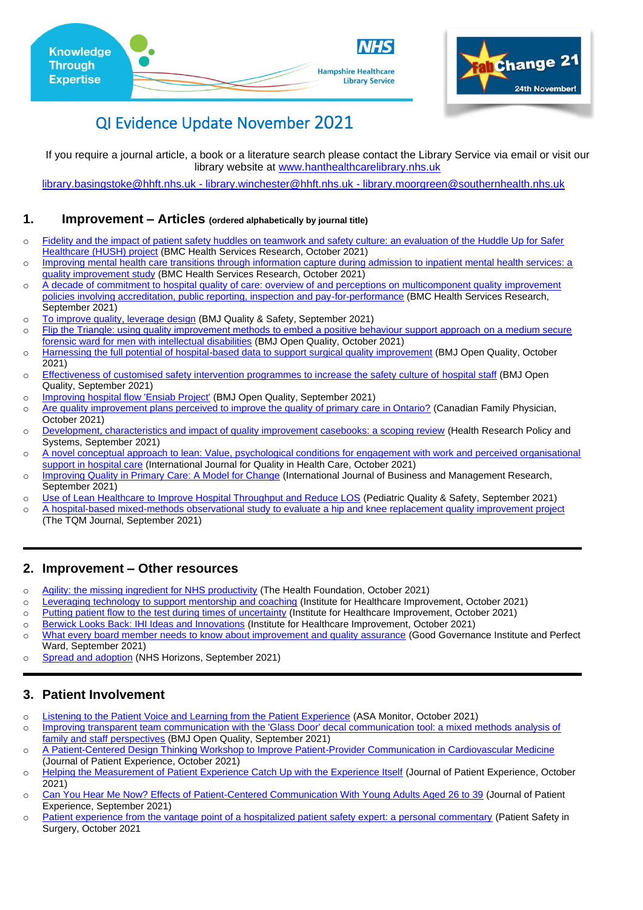



# QI Evidence Update November 2021

If you require a journal article, a book or a literature search please contact the Library Service via email or visit our library website at [www.hanthealthcarelibrary.nhs.uk](http://www.hanthealthcarelibrary.nhs.uk/)

[library.basingstoke@hhft.nhs.uk](mailto:library.basingstoke@hhft.nhs.uk) - [library.winchester@hhft.nhs.uk](mailto:library.winchester@hhft.nhs.uk) - [library.moorgreen@southernhealth.nhs.uk](mailto:library.moorgreen@southernhealth.nhs.uk)

#### **1. Improvement – Articles (ordered alphabetically by journal title)**

- o [Fidelity and the impact of patient safety huddles on teamwork and safety culture: an evaluation of the Huddle Up for Safer](https://bmchealthservres.biomedcentral.com/articles/10.1186/s12913-021-07080-1)  [Healthcare \(HUSH\) project](https://bmchealthservres.biomedcentral.com/articles/10.1186/s12913-021-07080-1) (BMC Health Services Research, October 2021)
- o [Improving mental health care transitions through information capture during admission to inpatient mental health services: a](https://link.springer.com/article/10.1186/s12913-021-07136-2)  [quality improvement study](https://link.springer.com/article/10.1186/s12913-021-07136-2) (BMC Health Services Research, October 2021)
- o [A decade of commitment to hospital quality of care: overview of and perceptions on multicomponent quality improvement](https://link.springer.com/content/pdf/10.1186/s12913-021-07007-w.pdf)  [policies involving accreditation, public reporting, inspection and pay-for-performance](https://link.springer.com/content/pdf/10.1186/s12913-021-07007-w.pdf) (BMC Health Services Research, September 2021)
- o [To improve quality, leverage design](https://qualitysafety.bmj.com/content/qhc/early/2021/09/11/bmjqs-2021-013605.full.pdf) (BMJ Quality & Safety, September 2021)
- o [Flip the Triangle: using quality improvement methods to embed a positive behaviour support approach](https://bmjopenquality.bmj.com/content/bmjqir/10/4/e001514.full.pdf) on a medium secure [forensic ward for men with intellectual disabilities](https://bmjopenquality.bmj.com/content/bmjqir/10/4/e001514.full.pdf) (BMJ Open Quality, October 2021)
- o [Harnessing the full potential of hospital-based data to support](https://bmjopenquality.bmj.com/content/bmjqir/10/4/e001178.full.pdf) surgical quality improvement (BMJ Open Quality, October 2021)
- o [Effectiveness of customised safety intervention programmes to increase the safety culture of hospital staff](https://bmjopenquality.bmj.com/content/bmjqir/10/4/e000962.full.pdf) (BMJ Open Quality, September 2021)
- o [Improving hospital flow 'Ensiab Project'](https://bmjopenquality.bmj.com/content/bmjqir/10/3/e001505.full.pdf) (BMJ Open Quality, September 2021)
- o [Are quality improvement plans perceived to improve the quality of primary care in Ontario?](https://www.cfp.ca/content/cfp/67/10/759.full.pdf) (Canadian Family Physician, October 2021)
- o [Development, characteristics and impact of quality improvement casebooks: a scoping review](https://link.springer.com/content/pdf/10.1186/s12961-021-00777-z.pdf) (Health Research Policy and Systems, September 2021)
- o A novel conceptual approach to lean: Value, psychological conditions for engagement with work and perceived organisational [support in hospital care](https://academic.oup.com/intqhc/advance-article/doi/10.1093/intqhc/mzab148/6404025) (International Journal for Quality in Health Care, October 2021)
- o [Improving Quality in Primary Care: A Model for Change](https://ijbmr.forexjournal.co.in/papers-pdf/ijbmr-090310.pdf) (International Journal of Business and Management Research, September 2021)
- o [Use of Lean Healthcare to Improve Hospital Throughput and Reduce LOS](https://www.ncbi.nlm.nih.gov/pmc/articles/PMC8476052/) (Pediatric Quality & Safety, September 2021)
- o [A hospital-based mixed-methods observational study to evaluate a hip and knee replacement quality improvement project](https://www.emerald.com/insight/content/doi/10.1108/TQM-12-2020-0301/full/pdf?title=a-hospital-based-mixed-methods-observational-study-to-evaluate-a-hip-and-knee-replacement-quality-improvement-project) (The TQM Journal, September 2021)

### **2. Improvement – Other resources**

- o [Agility: the missing ingredient for NHS productivity](https://www.health.org.uk/publications/long-reads/agility-the-missing-ingredient-for-nhs-productivity) (The Health Foundation, October 2021)
- o [Leveraging technology to support mentorship and coaching](http://www.ihi.org/communities/blogs/africa-leveraging-technology-to-support-mentorship-and-coaching) (Institute for Healthcare Improvement, October 2021)
- o [Putting patient flow to the test during times of uncertainty](http://www.ihi.org/communities/blogs/putting-patient-flow-to-the-test-during-times-of-uncertainty) (Institute for Healthcare Improvement, October 2021)
- o [Berwick Looks Back: IHI Ideas and Innovations](http://www.ihi.org/communities/blogs/berwick-looks-back-ihi-ideas-and-innovations) (Institute for Healthcare Improvement, October 2021)
- o [What every board member needs to know about improvement and quality assurance](https://www.good-governance.org.uk/assets/uploads/publication-documents/Reports-and-Papers/GGI-Perfect-Ward-White-Paper-What-every-board-member-needs-to-know-about-improvement-and-quality-assurance-Sept-2021.pdf?utm_source=The%20King%27s%20Fund%20newsletters%20%28main%20account%29&utm_medium=email&utm_campaign=12696283_NEWSL_HMP%202021-10-05&dm_i=21A8,7K4IJ,SY51XB,USCHW,1) (Good Governance Institute and Perfect Ward, September 2021)
- o [Spread and adoption](http://horizonsnhs.com/programmes-of-work/spread-and-innovation/) (NHS Horizons, September 2021)

### **3. Patient Involvement**

- o [Listening to the Patient Voice and Learning from the Patient Experience](https://pubs.asahq.org/monitor/article/85/S10/27/117600/Listening-to-the-Patient-Voice-and-Learning-from) (ASA Monitor, October 2021)
- o [Improving transparent team communication with the 'Glass Door' decal communication tool: a mixed methods analysis of](https://bmjopenquality.bmj.com/content/bmjqir/10/3/e001507.full.pdf)  [family and staff perspectives](https://bmjopenquality.bmj.com/content/bmjqir/10/3/e001507.full.pdf) (BMJ Open Quality, September 2021)
- o [A Patient-Centered Design Thinking Workshop to Improve Patient-Provider Communication in Cardiovascular Medicine](https://journals.sagepub.com/doi/pdf/10.1177/23743735211049662) (Journal of Patient Experience, October 2021)
- o [Helping the Measurement of Patient Experience Catch Up with the Experience Itself](https://journals.sagepub.com/doi/pdf/10.1177/23743735211048057) (Journal of Patient Experience, October 2021)
- o [Can You Hear Me Now? Effects of Patient-Centered Communication With Young Adults Aged 26 to 39](https://journals.sagepub.com/doi/pdf/10.1177/23743735211033116) (Journal of Patient Experience, September 2021)
- o [Patient experience from the vantage point of a hospitalized patient safety expert: a personal commentary](https://link.springer.com/article/10.1186/s13037-021-00307-4) (Patient Safety in Surgery, October 2021